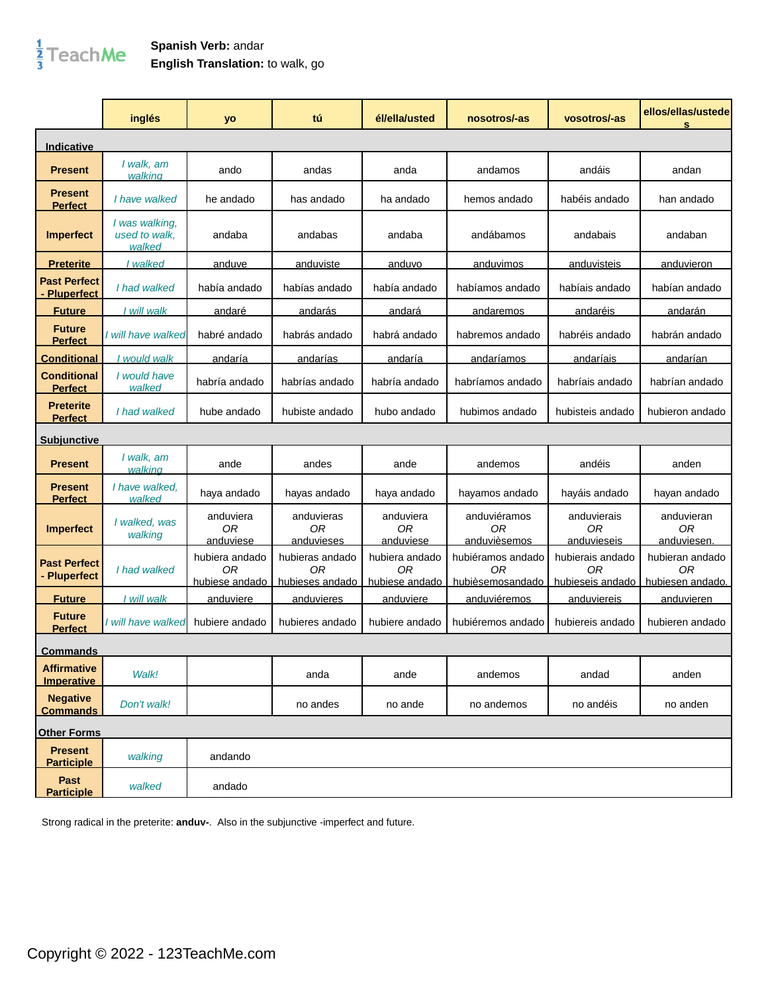## $\frac{1}{3}$ TeachMe

## **Spanish Verb:** andar **English Translation:** to walk, go

|                                         | inglés                                    | yo                                       | tú                                         | él/ella/usted                          | nosotros/-as                                | vosotros/-as                               | ellos/ellas/ustede<br>s                   |
|-----------------------------------------|-------------------------------------------|------------------------------------------|--------------------------------------------|----------------------------------------|---------------------------------------------|--------------------------------------------|-------------------------------------------|
| Indicative                              |                                           |                                          |                                            |                                        |                                             |                                            |                                           |
| <b>Present</b>                          | I walk, am<br>walking                     | ando                                     | andas                                      | anda                                   | andamos                                     | andáis                                     | andan                                     |
| <b>Present</b><br><b>Perfect</b>        | I have walked                             | he andado                                | has andado                                 | ha andado                              | hemos andado                                | habéis andado                              | han andado                                |
| <b>Imperfect</b>                        | I was walking,<br>used to walk,<br>walked | andaba                                   | andabas                                    | andaba                                 | andábamos                                   | andabais                                   | andaban                                   |
| <u>Preterite</u>                        | I walked                                  | anduve                                   | anduviste                                  | anduvo                                 | anduvimos                                   | anduvisteis                                | anduvieron                                |
| <b>Past Perfect</b><br>- Pluperfect     | I had walked                              | había andado                             | habías andado                              | había andado                           | habíamos andado                             | habíais andado                             | habían andado                             |
| <b>Future</b>                           | I will walk                               | <u>andaré</u>                            | <u>andarás</u>                             | andará                                 | andaremos                                   | andaréis                                   | <u>andarán</u>                            |
| <b>Future</b><br><b>Perfect</b>         | I will have walked                        | habré andado                             | habrás andado                              | habrá andado                           | habremos andado                             | habréis andado                             | habrán andado                             |
| <u>Conditional</u>                      | would walk                                | andaría                                  | <u>andarías</u>                            | andaría                                | <u>andaríamos</u>                           | andaríais                                  | <u>andarían</u>                           |
| Conditional<br><b>Perfect</b>           | I would have<br>walked                    | habría andado                            | habrías andado                             | habría andado                          | habríamos andado                            | habríais andado                            | habrían andado                            |
| <b>Preterite</b><br><b>Perfect</b>      | I had walked                              | hube andado                              | hubiste andado                             | hubo andado                            | hubimos andado                              | hubisteis andado                           | hubieron andado                           |
| <u>Subiunctive</u>                      |                                           |                                          |                                            |                                        |                                             |                                            |                                           |
| <b>Present</b>                          | I walk, am<br>walking                     | ande                                     | andes                                      | ande                                   | andemos                                     | andéis                                     | anden                                     |
| <b>Present</b><br><b>Perfect</b>        | I have walked.<br>walked                  | haya andado                              | hayas andado                               | haya andado                            | hayamos andado                              | hayáis andado                              | hayan andado                              |
| <b>Imperfect</b>                        | I walked, was<br>walking                  | anduviera<br>0 <sub>R</sub><br>anduviese | anduvieras<br>0 <sub>R</sub><br>anduvieses | anduviera<br><b>OR</b><br>anduviese    | anduviéramos<br>0R<br>anduvièsemos          | anduvierais<br>0R<br>anduvieseis           | anduvieran<br>0R<br>anduviesen.           |
| <b>Past Perfect</b><br>- Pluperfect     | I had walked                              | hubiera andado<br>0R<br>hubiese andado   | hubieras andado<br>ΟR<br>hubieses andado   | hubiera andado<br>ΟR<br>hubiese andado | hubiéramos andado<br>ОR<br>hubièsemosandado | hubierais andado<br>ΟR<br>hubieseis andado | hubieran andado<br>ΟR<br>hubiesen andado. |
| <b>Future</b>                           | I will walk                               | <u>anduviere</u>                         | <u>anduvieres</u>                          | <u>anduviere</u>                       | <u>anduviéremos</u>                         | <u>anduviereis</u>                         | <u>anduvieren</u>                         |
| <b>Future</b><br><b>Perfect</b>         | I will have walked                        | hubiere andado                           | hubieres andado                            | hubiere andado                         | hubiéremos andado                           | hubiereis andado                           | hubieren andado                           |
| <b>Commands</b>                         |                                           |                                          |                                            |                                        |                                             |                                            |                                           |
| <b>Affirmative</b><br><b>Imperative</b> | Walk!                                     |                                          | anda                                       | ande                                   | andemos                                     | andad                                      | anden                                     |
| <b>Negative</b><br><b>Commands</b>      | Don't walk!                               |                                          | no andes                                   | no ande                                | no andemos                                  | no andéis                                  | no anden                                  |
| <b>Other Forms</b>                      |                                           |                                          |                                            |                                        |                                             |                                            |                                           |
| <b>Present</b><br><b>Participle</b>     | walking                                   | andando                                  |                                            |                                        |                                             |                                            |                                           |
| Past<br><b>Participle</b>               | walked                                    | andado                                   |                                            |                                        |                                             |                                            |                                           |

Strong radical in the preterite: **anduv-**. Also in the subjunctive -imperfect and future.